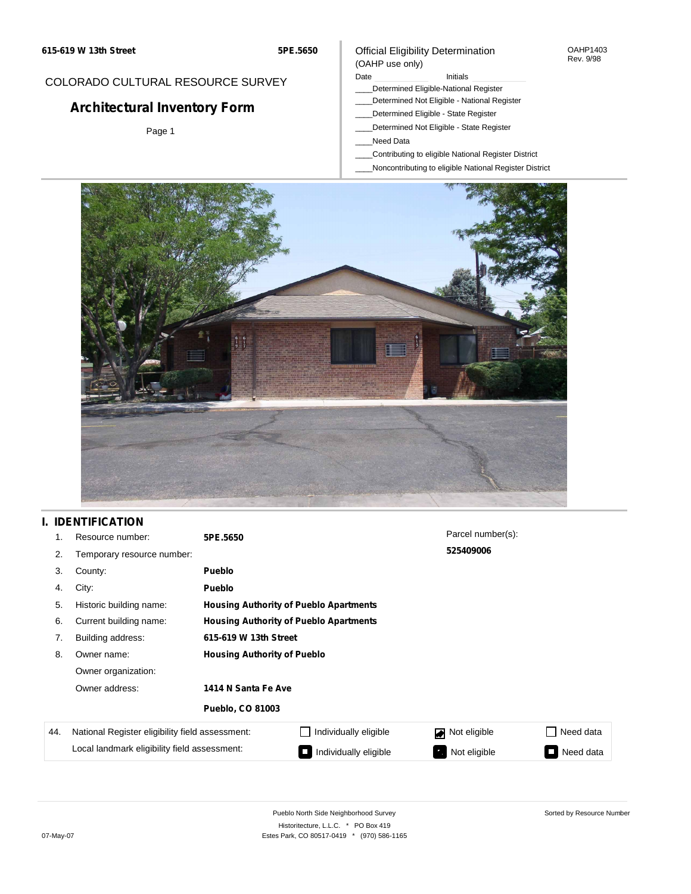**5PE.5650**

### Official Eligibility Determination (OAHP use only)

OAHP1403 Rev. 9/98

# COLORADO CULTURAL RESOURCE SURVEY

# **Architectural Inventory Form**

Page 1

#### Date **Initials** Initials

- \_\_\_\_Determined Eligible-National Register
- \_\_\_\_Determined Not Eligible National Register
- \_\_\_\_Determined Eligible State Register
- \_\_\_\_Determined Not Eligible State Register
- \_\_\_\_Need Data
- \_\_\_\_Contributing to eligible National Register District
- \_\_\_\_Noncontributing to eligible National Register District



### **I. IDENTIFICATION**

| 1.  | Resource number:                                | 5PE.5650                           |                                               | Parcel number(s): |                     |  |  |  |  |
|-----|-------------------------------------------------|------------------------------------|-----------------------------------------------|-------------------|---------------------|--|--|--|--|
| 2.  | Temporary resource number:                      |                                    |                                               | 525409006         |                     |  |  |  |  |
| 3.  | County:                                         | <b>Pueblo</b>                      |                                               |                   |                     |  |  |  |  |
| 4.  | City:                                           | <b>Pueblo</b>                      |                                               |                   |                     |  |  |  |  |
| 5.  | Historic building name:                         |                                    | <b>Housing Authority of Pueblo Apartments</b> |                   |                     |  |  |  |  |
| 6.  | Current building name:                          |                                    | <b>Housing Authority of Pueblo Apartments</b> |                   |                     |  |  |  |  |
| 7.  | Building address:                               | 615-619 W 13th Street              |                                               |                   |                     |  |  |  |  |
| 8.  | Owner name:                                     | <b>Housing Authority of Pueblo</b> |                                               |                   |                     |  |  |  |  |
|     | Owner organization:                             |                                    |                                               |                   |                     |  |  |  |  |
|     | Owner address:                                  |                                    | 1414 N Santa Fe Ave                           |                   |                     |  |  |  |  |
|     |                                                 | <b>Pueblo, CO 81003</b>            |                                               |                   |                     |  |  |  |  |
| 44. | National Register eligibility field assessment: |                                    | Individually eligible                         | Not eligible      | Need data           |  |  |  |  |
|     | Local landmark eligibility field assessment:    |                                    | Individually eligible                         | Not eligible<br>ъ | Need data<br>$\sim$ |  |  |  |  |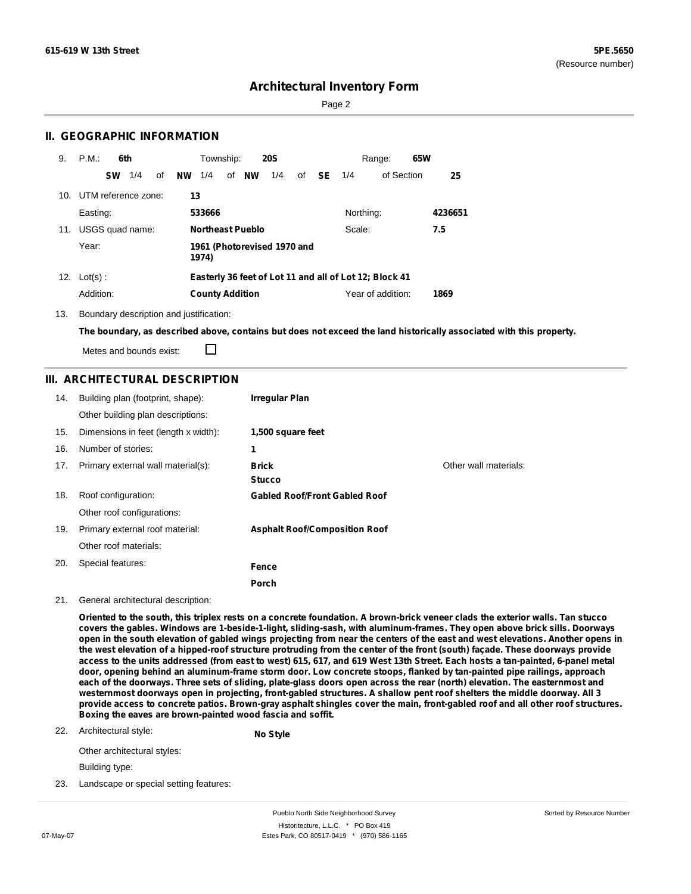Page 2

### **II. GEOGRAPHIC INFORMATION**

| 9.              | P.M.                | 6th |    |           | Township:              |    |                         | <b>20S</b>                  |    |      |           | Range:                                                 | 65W |         |
|-----------------|---------------------|-----|----|-----------|------------------------|----|-------------------------|-----------------------------|----|------|-----------|--------------------------------------------------------|-----|---------|
|                 | <b>SW</b>           | 1/4 | οf | <b>NW</b> | 1/4                    | of | <b>NW</b>               | 1/4                         | of | - SE | 1/4       | of Section                                             |     | 25      |
| 10 <sub>1</sub> | UTM reference zone: |     |    | 13        |                        |    |                         |                             |    |      |           |                                                        |     |         |
|                 | Easting:            |     |    |           | 533666                 |    |                         |                             |    |      | Northing: |                                                        |     | 4236651 |
| 11.             | USGS quad name:     |     |    |           |                        |    | <b>Northeast Pueblo</b> |                             |    |      | Scale:    |                                                        |     | 7.5     |
|                 | Year:               |     |    |           | 1974)                  |    |                         | 1961 (Photorevised 1970 and |    |      |           |                                                        |     |         |
| 12.             | $Lot(s)$ :          |     |    |           |                        |    |                         |                             |    |      |           | Easterly 36 feet of Lot 11 and all of Lot 12; Block 41 |     |         |
|                 | Addition:           |     |    |           | <b>County Addition</b> |    |                         |                             |    |      |           | Year of addition:                                      |     | 1869    |

13. Boundary description and justification:

The boundary, as described above, contains but does not exceed the land historically associated with this property.

Metes and bounds exist:

П

### **III. ARCHITECTURAL DESCRIPTION**

| 14. | Building plan (footprint, shape):    | <b>Irregular Plan</b>                |                       |
|-----|--------------------------------------|--------------------------------------|-----------------------|
|     | Other building plan descriptions:    |                                      |                       |
| 15. | Dimensions in feet (length x width): | 1,500 square feet                    |                       |
| 16. | Number of stories:                   | 1                                    |                       |
| 17. | Primary external wall material(s):   | <b>Brick</b>                         | Other wall materials: |
|     |                                      | <b>Stucco</b>                        |                       |
| 18. | Roof configuration:                  | <b>Gabled Roof/Front Gabled Roof</b> |                       |
|     | Other roof configurations:           |                                      |                       |
| 19. | Primary external roof material:      | <b>Asphalt Roof/Composition Roof</b> |                       |
|     | Other roof materials:                |                                      |                       |
| 20. | Special features:                    | Fence                                |                       |
|     |                                      | Porch                                |                       |

**No Style**

#### 21. General architectural description:

Oriented to the south, this triplex rests on a concrete foundation. A brown-brick veneer clads the exterior walls, Tan stucco covers the gables. Windows are 1-beside-1-light, sliding-sash, with aluminum-frames. They open above brick sills. Doorways open in the south elevation of gabled wings projecting from near the centers of the east and west elevations. Another opens in the west elevation of a hipped-roof structure protruding from the center of the front (south) façade. These doorways provide access to the units addressed (from east to west) 615, 617, and 619 West 13th Street. Each hosts a tan-painted, 6-panel metal door, opening behind an aluminum-frame storm door. Low concrete stoops, flanked by tan-painted pipe railings, approach each of the doorways. Three sets of sliding, plate-glass doors open across the rear (north) elevation. The easternmost and westernmost doorways open in projecting, front-gabled structures. A shallow pent roof shelters the middle doorway. All 3 provide access to concrete patios. Brown-gray asphalt shingles cover the main, front-gabled roof and all other roof structures. **Boxing the eaves are brown-painted wood fascia and soffit.**

22. Architectural style:

Other architectural styles:

Building type:

23. Landscape or special setting features: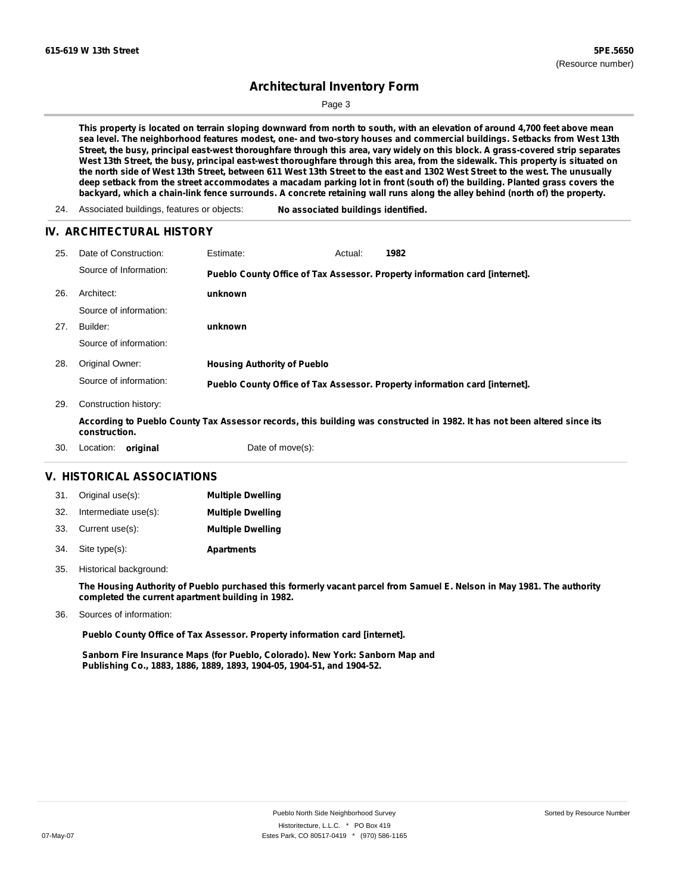Page 3

This property is located on terrain sloping downward from north to south, with an elevation of around 4,700 feet above mean sea level. The neighborhood features modest, one- and two-story houses and commercial buildings. Setbacks from West 13th Street, the busy, principal east-west thoroughfare through this area, vary widely on this block. A grass-covered strip separates West 13th Street, the busy, principal east-west thoroughfare through this area, from the sidewalk. This property is situated on the north side of West 13th Street, between 611 West 13th Street to the east and 1302 West Street to the west. The unusually deep setback from the street accommodates a macadam parking lot in front (south of) the building. Planted grass covers the backyard, which a chain-link fence surrounds. A concrete retaining wall runs along the alley behind (north of) the property.

24. Associated buildings, features or objects: **No associated buildings identified.**

#### **IV. ARCHITECTURAL HISTORY**

| 25. | Date of Construction:  | Estimate:                          | Actual: | 1982                                                                                                                      |
|-----|------------------------|------------------------------------|---------|---------------------------------------------------------------------------------------------------------------------------|
|     | Source of Information: |                                    |         | Pueblo County Office of Tax Assessor. Property information card [internet].                                               |
| 26. | Architect:             | unknown                            |         |                                                                                                                           |
|     | Source of information: |                                    |         |                                                                                                                           |
| 27. | Builder:               | unknown                            |         |                                                                                                                           |
|     | Source of information: |                                    |         |                                                                                                                           |
| 28. | Original Owner:        | <b>Housing Authority of Pueblo</b> |         |                                                                                                                           |
|     | Source of information: |                                    |         | Pueblo County Office of Tax Assessor. Property information card [internet].                                               |
| 29. | Construction history:  |                                    |         |                                                                                                                           |
|     | construction.          |                                    |         | According to Pueblo County Tax Assessor records, this building was constructed in 1982. It has not been altered since its |
| 30. | original<br>Location:  | Date of move(s):                   |         |                                                                                                                           |

#### **V. HISTORICAL ASSOCIATIONS**

|     | 31. Original use(s): | <b>Multiple Dwelling</b> |
|-----|----------------------|--------------------------|
| 32. | Intermediate use(s): | <b>Multiple Dwelling</b> |
|     | 33. Current use(s):  | <b>Multiple Dwelling</b> |
| 34. | Site type(s):        | <b>Apartments</b>        |

35. Historical background:

The Housing Authority of Pueblo purchased this formerly vacant parcel from Samuel E. Nelson in May 1981. The authority **completed the current apartment building in 1982.**

Sources of information: 36.

**Pueblo County Office of Tax Assessor. Property information card [internet].**

**Sanborn Fire Insurance Maps (for Pueblo, Colorado). New York: Sanborn Map and Publishing Co., 1883, 1886, 1889, 1893, 1904-05, 1904-51, and 1904-52.**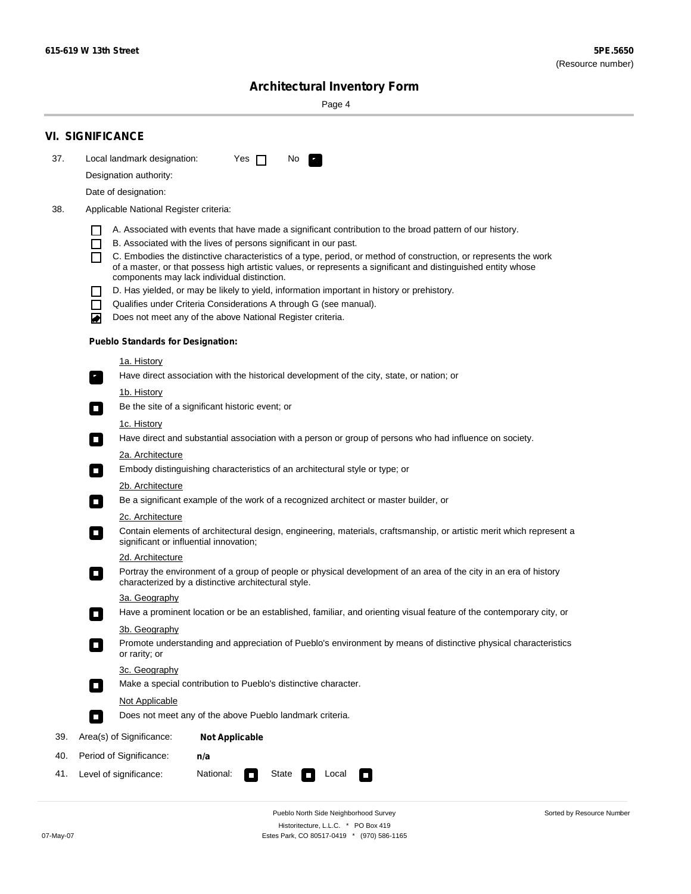Sorted by Resource Number

# **Architectural Inventory Form**

Page 4

|     | <b>VI. SIGNIFICANCE</b>                                                                                                                                                                                                                                                                                                                                                                                                                                                                                                                                                                                                                                                                                                                                                                                                                                                                                                                                                                                  |  |  |  |  |  |  |  |
|-----|----------------------------------------------------------------------------------------------------------------------------------------------------------------------------------------------------------------------------------------------------------------------------------------------------------------------------------------------------------------------------------------------------------------------------------------------------------------------------------------------------------------------------------------------------------------------------------------------------------------------------------------------------------------------------------------------------------------------------------------------------------------------------------------------------------------------------------------------------------------------------------------------------------------------------------------------------------------------------------------------------------|--|--|--|--|--|--|--|
| 37. | Local landmark designation:<br>Yes $\Box$<br>No.<br>P.                                                                                                                                                                                                                                                                                                                                                                                                                                                                                                                                                                                                                                                                                                                                                                                                                                                                                                                                                   |  |  |  |  |  |  |  |
|     | Designation authority:                                                                                                                                                                                                                                                                                                                                                                                                                                                                                                                                                                                                                                                                                                                                                                                                                                                                                                                                                                                   |  |  |  |  |  |  |  |
|     | Date of designation:                                                                                                                                                                                                                                                                                                                                                                                                                                                                                                                                                                                                                                                                                                                                                                                                                                                                                                                                                                                     |  |  |  |  |  |  |  |
| 38. | Applicable National Register criteria:                                                                                                                                                                                                                                                                                                                                                                                                                                                                                                                                                                                                                                                                                                                                                                                                                                                                                                                                                                   |  |  |  |  |  |  |  |
|     | A. Associated with events that have made a significant contribution to the broad pattern of our history.<br>B. Associated with the lives of persons significant in our past.<br>$\Box$<br>C. Embodies the distinctive characteristics of a type, period, or method of construction, or represents the work<br>П<br>of a master, or that possess high artistic values, or represents a significant and distinguished entity whose<br>components may lack individual distinction.<br>D. Has yielded, or may be likely to yield, information important in history or prehistory.<br>Qualifies under Criteria Considerations A through G (see manual).<br>$\Box$<br>Does not meet any of the above National Register criteria.<br>◙<br><b>Pueblo Standards for Designation:</b><br><u>1a. History</u><br>Have direct association with the historical development of the city, state, or nation; or<br>$\overline{\phantom{a}}$ .<br>1b. History<br>Be the site of a significant historic event; or<br>$\Box$ |  |  |  |  |  |  |  |
|     | 1c. History<br>Have direct and substantial association with a person or group of persons who had influence on society.<br>$\Box$<br>2a. Architecture<br>Embody distinguishing characteristics of an architectural style or type; or<br>$\Box$                                                                                                                                                                                                                                                                                                                                                                                                                                                                                                                                                                                                                                                                                                                                                            |  |  |  |  |  |  |  |
|     | <u>2b. Architecture</u><br>Be a significant example of the work of a recognized architect or master builder, or<br>$\overline{\phantom{a}}$<br><b>2c. Architecture</b><br>Contain elements of architectural design, engineering, materials, craftsmanship, or artistic merit which represent a<br>$\Box$                                                                                                                                                                                                                                                                                                                                                                                                                                                                                                                                                                                                                                                                                                 |  |  |  |  |  |  |  |
|     | significant or influential innovation;<br><u>2d. Architecture</u><br>Portray the environment of a group of people or physical development of an area of the city in an era of history<br>$\Box$<br>characterized by a distinctive architectural style.                                                                                                                                                                                                                                                                                                                                                                                                                                                                                                                                                                                                                                                                                                                                                   |  |  |  |  |  |  |  |
|     | 3a. Geography<br>Have a prominent location or be an established, familiar, and orienting visual feature of the contemporary city, or<br>3b. Geography<br>Promote understanding and appreciation of Pueblo's environment by means of distinctive physical characteristics<br>or rarity; or                                                                                                                                                                                                                                                                                                                                                                                                                                                                                                                                                                                                                                                                                                                |  |  |  |  |  |  |  |
|     | 3c. Geography<br>Make a special contribution to Pueblo's distinctive character.<br>$\overline{\phantom{a}}$<br>Not Applicable<br>Does not meet any of the above Pueblo landmark criteria.<br>$\Box$                                                                                                                                                                                                                                                                                                                                                                                                                                                                                                                                                                                                                                                                                                                                                                                                      |  |  |  |  |  |  |  |
|     | Area(s) of Significance:                                                                                                                                                                                                                                                                                                                                                                                                                                                                                                                                                                                                                                                                                                                                                                                                                                                                                                                                                                                 |  |  |  |  |  |  |  |
| 39. | <b>Not Applicable</b>                                                                                                                                                                                                                                                                                                                                                                                                                                                                                                                                                                                                                                                                                                                                                                                                                                                                                                                                                                                    |  |  |  |  |  |  |  |
| 40. | Period of Significance:<br>n/a                                                                                                                                                                                                                                                                                                                                                                                                                                                                                                                                                                                                                                                                                                                                                                                                                                                                                                                                                                           |  |  |  |  |  |  |  |
| 41. | National:<br>Level of significance:<br>State<br>Local<br>$\overline{\phantom{a}}$<br>$\sim$                                                                                                                                                                                                                                                                                                                                                                                                                                                                                                                                                                                                                                                                                                                                                                                                                                                                                                              |  |  |  |  |  |  |  |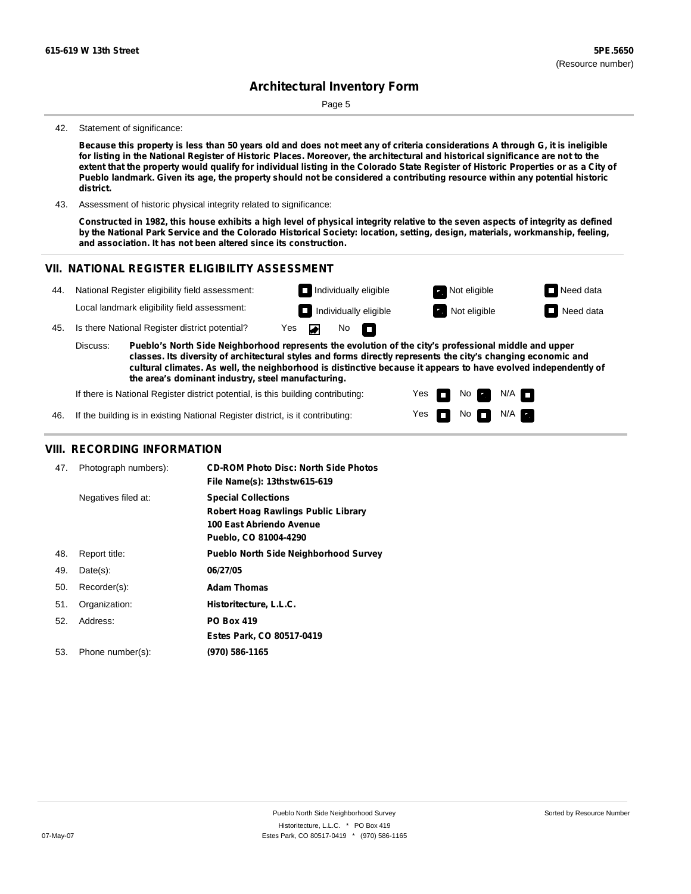Page 5

#### 42. Statement of significance:

Because this property is less than 50 years old and does not meet any of criteria considerations A through G, it is ineligible for listing in the National Register of Historic Places. Moreover, the architectural and historical significance are not to the extent that the property would qualify for individual listing in the Colorado State Register of Historic Properties or as a City of Pueblo landmark. Given its age, the property should not be considered a contributing resource within any potential historic **district.**

43. Assessment of historic physical integrity related to significance:

Constructed in 1982, this house exhibits a high level of physical integrity relative to the seven aspects of integrity as defined by the National Park Service and the Colorado Historical Society: location, setting, design, materials, workmanship, feeling, **and association. It has not been altered since its construction.**

#### **VII. NATIONAL REGISTER ELIGIBILITY ASSESSMENT**



If there is National Register district potential, is this building contributing:

Yes No **Ex**  $N/A$ n Yes  $N$ o  $N/A$ m

46. If the building is in existing National Register district, is it contributing:

#### **VIII. RECORDING INFORMATION**

| 47. | Photograph numbers): | <b>CD-ROM Photo Disc: North Side Photos</b><br>File Name(s): 13thstw615-619                                                   |
|-----|----------------------|-------------------------------------------------------------------------------------------------------------------------------|
|     | Negatives filed at:  | <b>Special Collections</b><br><b>Robert Hoag Rawlings Public Library</b><br>100 East Abriendo Avenue<br>Pueblo, CO 81004-4290 |
| 48. | Report title:        | <b>Pueblo North Side Neighborhood Survey</b>                                                                                  |
| 49. | $Date(s)$ :          | 06/27/05                                                                                                                      |
| 50. | Recorder(s):         | <b>Adam Thomas</b>                                                                                                            |
| 51. | Organization:        | Historitecture, L.L.C.                                                                                                        |
| 52. | Address:             | <b>PO Box 419</b>                                                                                                             |
|     |                      | Estes Park, CO 80517-0419                                                                                                     |
| 53. | Phone number(s):     | (970) 586-1165                                                                                                                |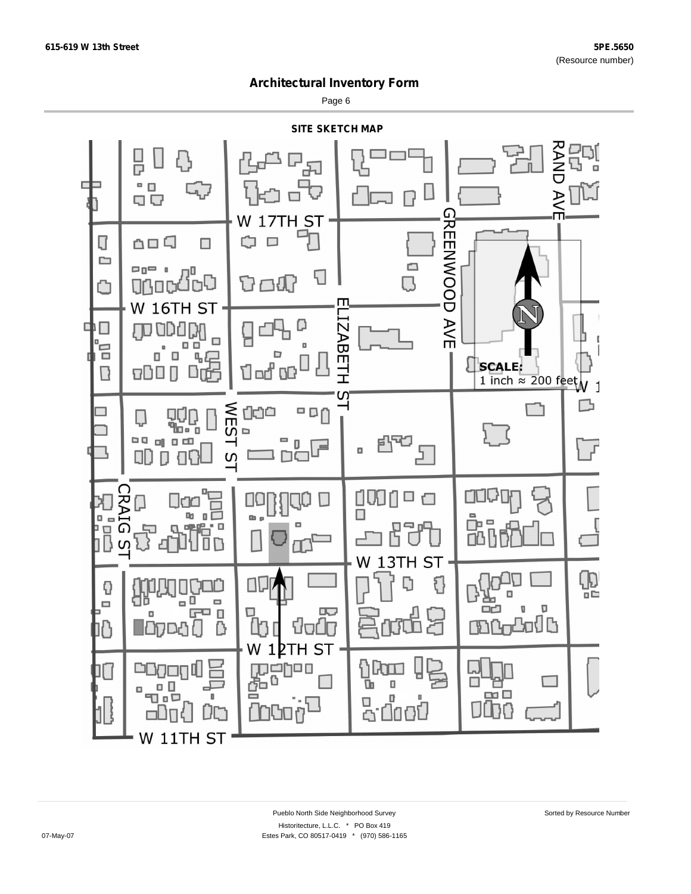Page 6